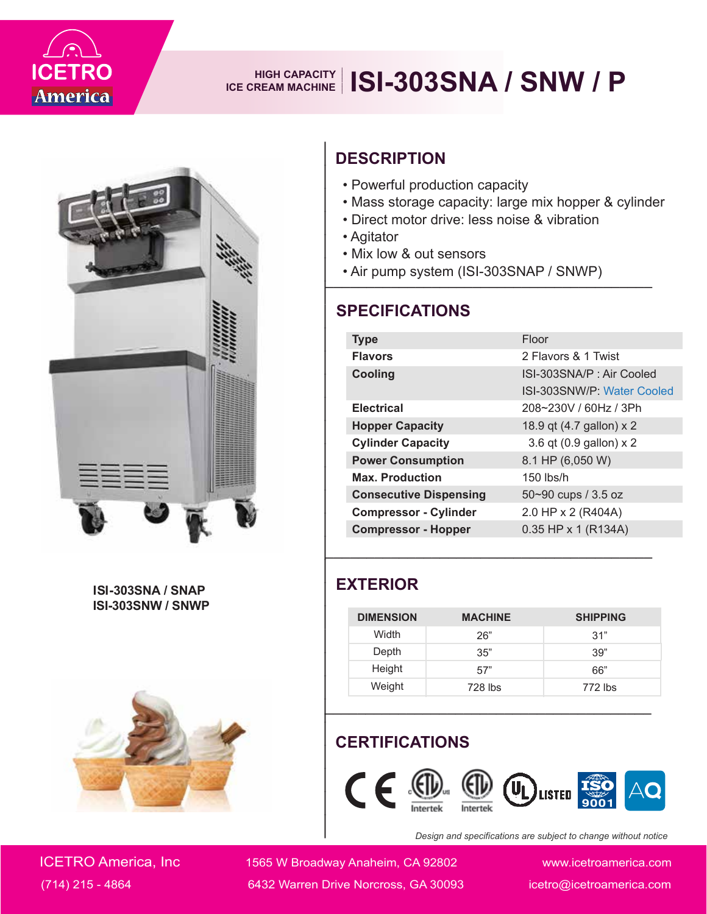

## **IS REAM MACHINE ISI-303SNA / SNW / P**



**ISI-303SNA / SNAP ISI-303SNW / SNWP**



### **DESCRIPTION**

- Powerful production capacity
- Mass storage capacity: large mix hopper & cylinder
- Direct motor drive: less noise & vibration
- Agitator
- Mix low & out sensors
- Air pump system (ISI-303SNAP / SNWP) **\_\_\_\_\_\_\_\_\_\_\_\_\_\_\_\_\_\_\_\_\_\_\_\_\_\_\_\_\_\_\_\_\_\_\_\_\_\_\_\_**

| <b>DESCRIPTION</b>                                                                                                                                                                                                                                 |                |                                                        |  |  |
|----------------------------------------------------------------------------------------------------------------------------------------------------------------------------------------------------------------------------------------------------|----------------|--------------------------------------------------------|--|--|
| • Powerful production capacity<br>• Mass storage capacity: large mix hopper & cylinder<br>• Direct motor drive: less noise & vibration<br>• Agitator<br>• Mix low & out sensors<br>• Air pump system (ISI-303SNAP / SNWP)<br><b>SPECIFICATIONS</b> |                |                                                        |  |  |
|                                                                                                                                                                                                                                                    |                |                                                        |  |  |
| <b>Type</b>                                                                                                                                                                                                                                        |                | Floor                                                  |  |  |
| <b>Flavors</b>                                                                                                                                                                                                                                     |                | 2 Flavors & 1 Twist                                    |  |  |
| Cooling                                                                                                                                                                                                                                            |                | ISI-303SNA/P: Air Cooled<br>ISI-303SNW/P: Water Cooled |  |  |
| <b>Electrical</b>                                                                                                                                                                                                                                  |                | 208~230V / 60Hz / 3Ph                                  |  |  |
| <b>Hopper Capacity</b>                                                                                                                                                                                                                             |                | 18.9 qt (4.7 gallon) x 2                               |  |  |
| <b>Cylinder Capacity</b>                                                                                                                                                                                                                           |                | 3.6 qt (0.9 gallon) x 2                                |  |  |
| <b>Power Consumption</b>                                                                                                                                                                                                                           |                | 8.1 HP (6,050 W)                                       |  |  |
| <b>Max. Production</b>                                                                                                                                                                                                                             |                | 150 lbs/h                                              |  |  |
| <b>Consecutive Dispensing</b>                                                                                                                                                                                                                      |                | 50~90 cups / 3.5 oz                                    |  |  |
| <b>Compressor - Cylinder</b>                                                                                                                                                                                                                       |                | 2.0 HP x 2 (R404A)                                     |  |  |
| <b>Compressor - Hopper</b>                                                                                                                                                                                                                         |                | 0.35 HP x 1 (R134A)                                    |  |  |
| <b>EXTERIOR</b>                                                                                                                                                                                                                                    |                |                                                        |  |  |
| <b>DIMENSION</b>                                                                                                                                                                                                                                   | <b>MACHINE</b> | <b>SHIPPING</b>                                        |  |  |
| Width                                                                                                                                                                                                                                              | 26"            | 31"                                                    |  |  |
| Depth<br>Height                                                                                                                                                                                                                                    | 35"            | 39"                                                    |  |  |
| Weight                                                                                                                                                                                                                                             | 57"<br>728 lbs | 66"<br>772 lbs                                         |  |  |
|                                                                                                                                                                                                                                                    |                |                                                        |  |  |
| <b>CERTIFICATIONS</b><br>$\epsilon$<br>LISTED<br>Design and specifications are subject to change without notice                                                                                                                                    |                |                                                        |  |  |

#### **EXTERIOR**

| <b>DIMENSION</b> | <b>MACHINE</b> | <b>SHIPPING</b> |
|------------------|----------------|-----------------|
| Width            | 26"            | 31"             |
| Depth            | 35"            | 39"             |
| Height           | 57"            | 66"             |
| Weight           | 728 lbs        | 772 lbs         |

#### **CERTIFICATIONS**



*Design and specifications are subject to change without notice*

ICETRO America, Inc 1565 W Broadway Anaheim, CA 92802 www.icetroamerica.com